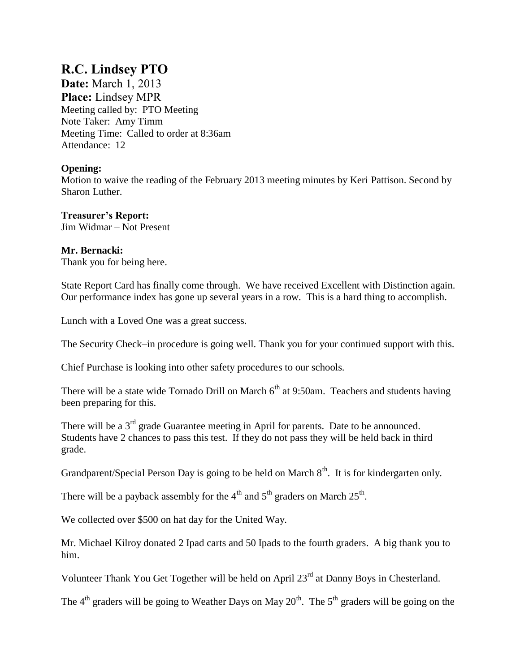# **R.C. Lindsey PTO**

**Date:** March 1, 2013 **Place:** Lindsey MPR Meeting called by: PTO Meeting Note Taker: Amy Timm Meeting Time: Called to order at 8:36am Attendance: 12

# **Opening:**

Motion to waive the reading of the February 2013 meeting minutes by Keri Pattison. Second by Sharon Luther.

# **Treasurer's Report:**

Jim Widmar – Not Present

## **Mr. Bernacki:**

Thank you for being here.

State Report Card has finally come through. We have received Excellent with Distinction again. Our performance index has gone up several years in a row. This is a hard thing to accomplish.

Lunch with a Loved One was a great success.

The Security Check–in procedure is going well. Thank you for your continued support with this.

Chief Purchase is looking into other safety procedures to our schools.

There will be a state wide Tornado Drill on March  $6<sup>th</sup>$  at 9:50am. Teachers and students having been preparing for this.

There will be a 3<sup>rd</sup> grade Guarantee meeting in April for parents. Date to be announced. Students have 2 chances to pass this test. If they do not pass they will be held back in third grade.

Grandparent/Special Person Day is going to be held on March  $8<sup>th</sup>$ . It is for kindergarten only.

There will be a payback assembly for the  $4<sup>th</sup>$  and  $5<sup>th</sup>$  graders on March  $25<sup>th</sup>$ .

We collected over \$500 on hat day for the United Way.

Mr. Michael Kilroy donated 2 Ipad carts and 50 Ipads to the fourth graders. A big thank you to him.

Volunteer Thank You Get Together will be held on April 23<sup>rd</sup> at Danny Boys in Chesterland.

The  $4<sup>th</sup>$  graders will be going to Weather Days on May  $20<sup>th</sup>$ . The  $5<sup>th</sup>$  graders will be going on the